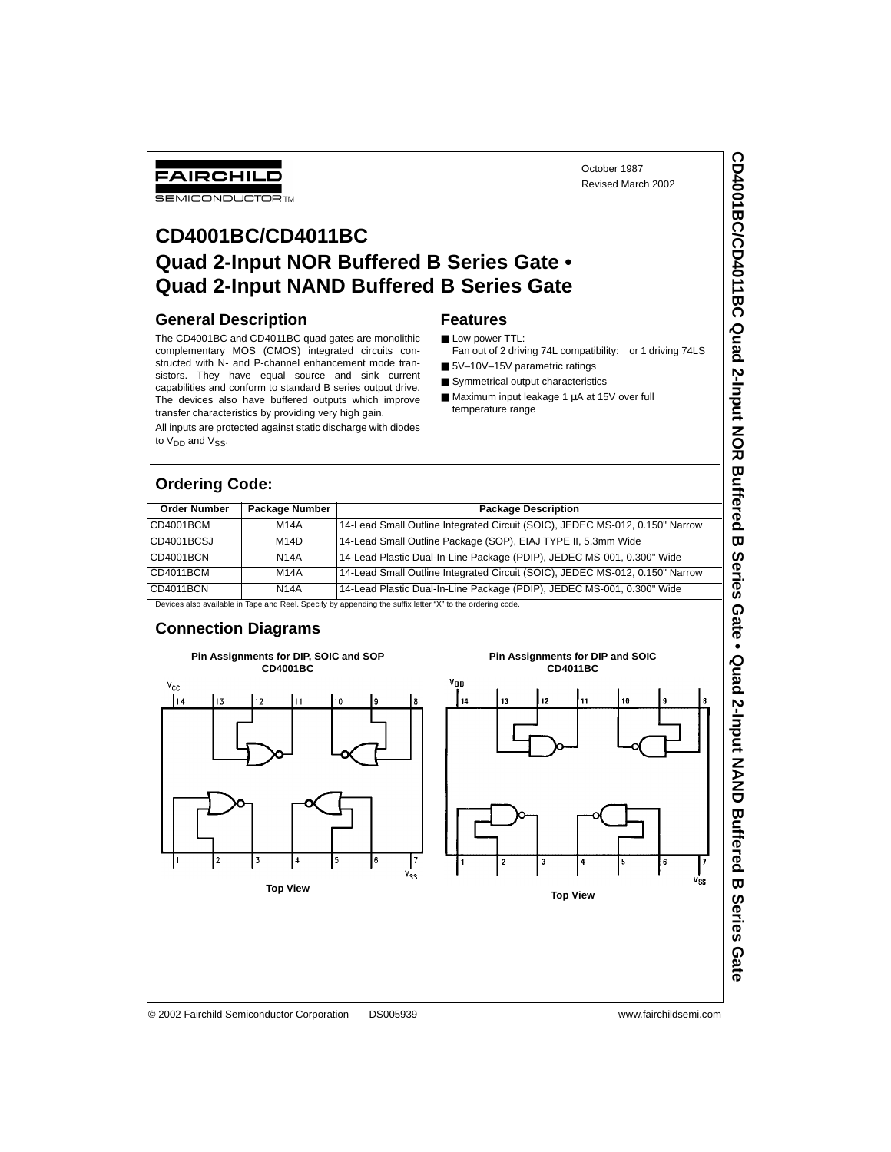Fan out of 2 driving 74L compatibility: or 1 driving 74LS

# **CD4001BC/CD4011BC Quad 2-Input NOR Buffered B Series Gate • Quad 2-Input NAND Buffered B Series Gate**

#### **General Description**

FAIRCHILD **SEMICONDUCTOR** TM

The CD4001BC and CD4011BC quad gates are monolithic complementary MOS (CMOS) integrated circuits constructed with N- and P-channel enhancement mode transistors. They have equal source and sink current capabilities and conform to standard B series output drive. The devices also have buffered outputs which improve transfer characteristics by providing very high gain.

All inputs are protected against static discharge with diodes to  $V_{DD}$  and  $V_{SS}$ .

# **Ordering Code:**

#### **Order Number | Package Number | Package Description** CD4001BCM M14A 14-Lead Small Outline Integrated Circuit (SOIC), JEDEC MS-012, 0.150" Narrow CD4001BCSJ M14D 14-Lead Small Outline Package (SOP), EIAJ TYPE II, 5.3mm Wide CD4001BCN N14A 14-Lead Plastic Dual-In-Line Package (PDIP), JEDEC MS-001, 0.300" Wide CD4011BCM M14A 14-Lead Small Outline Integrated Circuit (SOIC), JEDEC MS-012, 0.150" Narrow CD4011BCN N14A 14-Lead Plastic Dual-In-Line Package (PDIP), JEDEC MS-001, 0.300" Wide

**Features** ■ Low power TTL:

■ 5V-10V-15V parametric ratings ■ Symmetrical output characteristics ■ Maximum input leakage 1 µA at 15V over full

temperature range

Devices also available in Tape and Reel. Specify by appending the suffix letter "X" to the ordering code.

#### **Connection Diagrams**

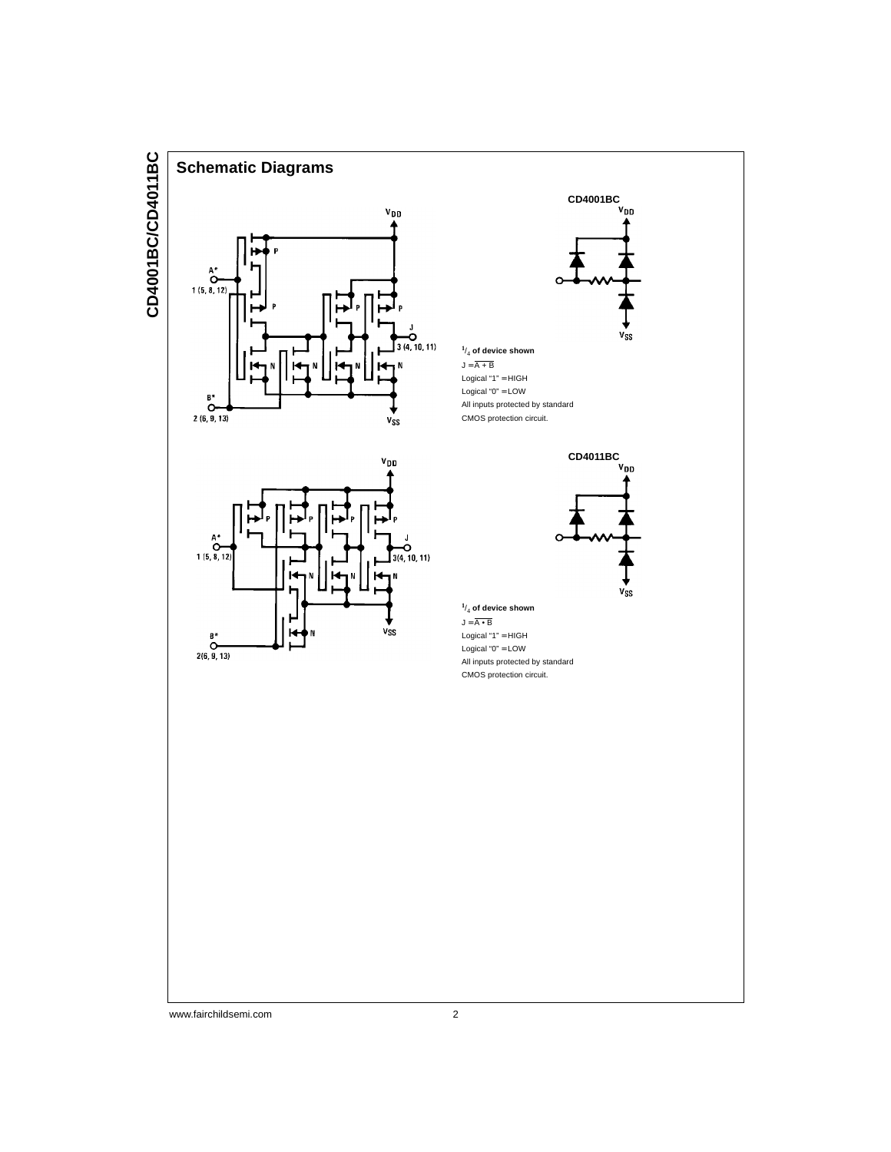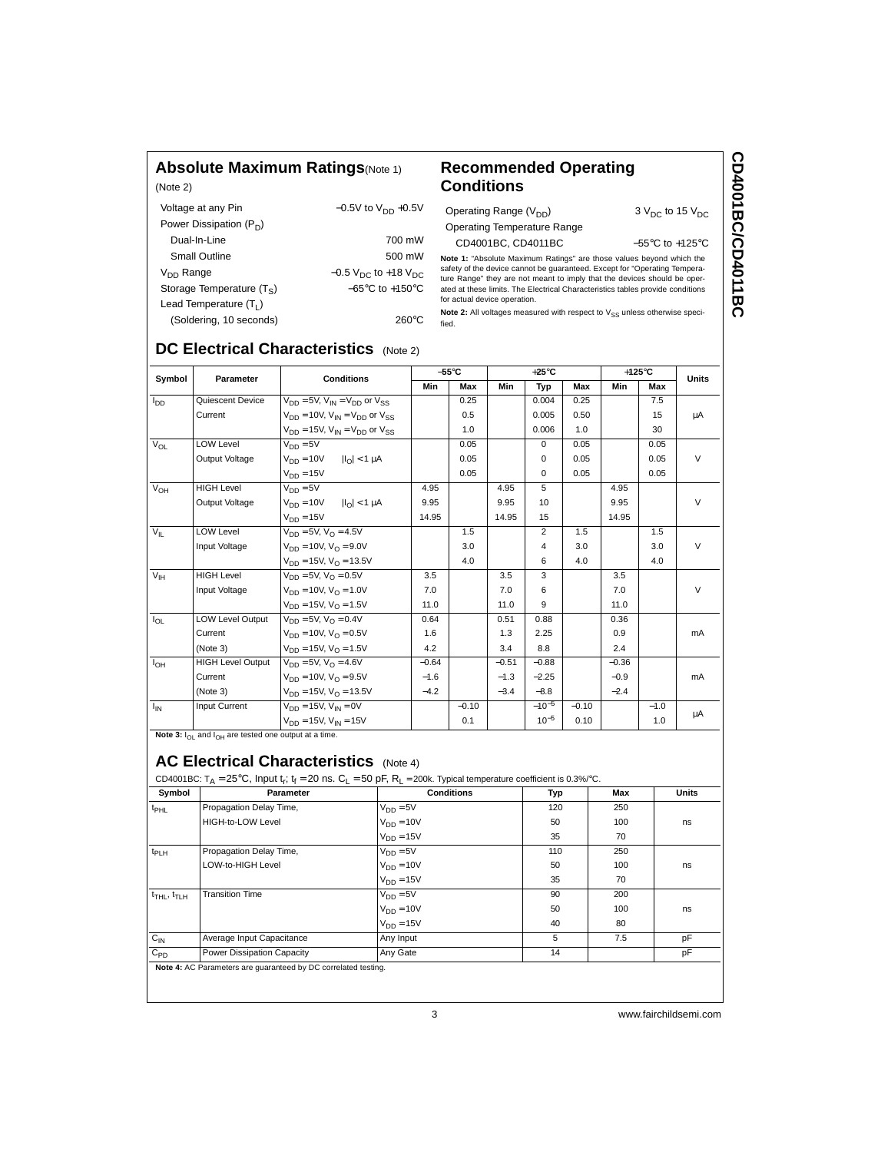#### **Absolute Maximum Ratings**(Note 1)

(Note 2)

#### **Recommended Operating Conditions**

| Voltage at any Pin          | $-0.5V$ to $V_{DD}$ +0.5V                     |
|-----------------------------|-----------------------------------------------|
| Power Dissipation $(P_D)$   |                                               |
| Dual-In-Line                | 700 mW                                        |
| Small Outline               | 500 mW                                        |
| $V_{DD}$ Range              | $-0.5$ V <sub>DC</sub> to +18 V <sub>DC</sub> |
| Storage Temperature $(T_S)$ | $-65^{\circ}$ C to $+150^{\circ}$ C           |
| Lead Temperature $(T_1)$    |                                               |
| (Soldering, 10 seconds)     | 260°C                                         |

**Note 1:** "Absolute Maximum Ratings" are those values beyond which the safety of the device cannot be guaranteed. Except for "Operating Temperature Range" they are not meant to imply that the devices should be oper-<br>ture R Operating Range  $(V_{DD})$  3  $V_{DC}$  to 15  $V_{DC}$ Operating Temperature Range CD4001BC, CD4011BC −55°C to +125°C

for actual device operation. Note 2: All voltages measured with respect to V<sub>SS</sub> unless otherwise speci-

fied.

# **DC Electrical Characteristics** (Note 2)

|                 | Parameter                | <b>Conditions</b>                              | $-55^{\circ}$ C |         |         | $+25^{\circ}$ C |         |         | $+125^{\circ}$ C |              |
|-----------------|--------------------------|------------------------------------------------|-----------------|---------|---------|-----------------|---------|---------|------------------|--------------|
| Symbol          |                          |                                                | Min             | Max     | Min     | Typ             | Max     | Min     | Max              | <b>Units</b> |
| l <sub>DD</sub> | Quiescent Device         | $V_{DD} = 5V$ , $V_{IN} = V_{DD}$ or $V_{SS}$  |                 | 0.25    |         | 0.004           | 0.25    |         | 7.5              |              |
|                 | Current                  | $V_{DD} = 10V$ , $V_{IN} = V_{DD}$ or $V_{SS}$ |                 | 0.5     |         | 0.005           | 0.50    |         | 15               | μA           |
|                 |                          | $V_{DD} = 15V$ , $V_{IN} = V_{DD}$ or $V_{SS}$ |                 | 1.0     |         | 0.006           | 1.0     |         | 30               |              |
| $V_{OL}$        | LOW Level                | $V_{DD} = 5V$                                  |                 | 0.05    |         | $\Omega$        | 0.05    |         | 0.05             |              |
|                 | Output Voltage           | $V_{DD} = 10V$<br>$ I_{\Omega}  < 1 \mu A$     |                 | 0.05    |         | $\Omega$        | 0.05    |         | 0.05             | $\vee$       |
|                 |                          | $V_{DD} = 15V$                                 |                 | 0.05    |         | 0               | 0.05    |         | 0.05             |              |
| V <sub>OH</sub> | <b>HIGH Level</b>        | $V_{DD} = 5V$                                  | 4.95            |         | 4.95    | 5               |         | 4.95    |                  |              |
|                 | Output Voltage           | $V_{DD} = 10V$<br>$ I_{\Omega}  < 1 \mu A$     | 9.95            |         | 9.95    | 10              |         | 9.95    |                  | $\vee$       |
|                 |                          | $V_{DD} = 15V$                                 | 14.95           |         | 14.95   | 15              |         | 14.95   |                  |              |
| $V_{\parallel}$ | <b>LOW Level</b>         | $V_{DD} = 5V$ , $V_{\Omega} = 4.5V$            |                 | 1.5     |         | $\overline{2}$  | 1.5     |         | 1.5              |              |
|                 | Input Voltage            | $V_{DD} = 10V$ , $V_{\Omega} = 9.0V$           |                 | 3.0     |         | 4               | 3.0     |         | 3.0              | $\vee$       |
|                 |                          | $V_{DD} = 15V$ , $V_{O} = 13.5V$               |                 | 4.0     |         | 6               | 4.0     |         | 4.0              |              |
| V <sub>IH</sub> | <b>HIGH Level</b>        | $V_{DD} = 5V$ , $V_{\Omega} = 0.5V$            | 3.5             |         | 3.5     | 3               |         | 3.5     |                  |              |
|                 | Input Voltage            | $V_{DD} = 10V$ , $V_{\Omega} = 1.0V$           | 7.0             |         | 7.0     | 6               |         | 7.0     |                  | $\vee$       |
|                 |                          | $V_{DD} = 15V$ , $V_{O} = 1.5V$                | 11.0            |         | 11.0    | 9               |         | 11.0    |                  |              |
| $I_{OL}$        | <b>LOW Level Output</b>  | $V_{DD} = 5V$ , $V_{\Omega} = 0.4V$            | 0.64            |         | 0.51    | 0.88            |         | 0.36    |                  |              |
|                 | Current                  | $V_{DD} = 10V$ , $V_{\Omega} = 0.5V$           | 1.6             |         | 1.3     | 2.25            |         | 0.9     |                  | mA           |
|                 | (Note 3)                 | $V_{DD} = 15V$ , $V_{O} = 1.5V$                | 4.2             |         | 3.4     | 8.8             |         | 2.4     |                  |              |
| $I_{OH}$        | <b>HIGH Level Output</b> | $V_{DD} = 5V$ , $V_{\Omega} = 4.6V$            | $-0.64$         |         | $-0.51$ | $-0.88$         |         | $-0.36$ |                  |              |
|                 | Current                  | $V_{DD} = 10V$ , $V_{\Omega} = 9.5V$           | $-1.6$          |         | $-1.3$  | $-2.25$         |         | $-0.9$  |                  | mA           |
|                 | (Note 3)                 | $V_{DD} = 15V$ , $V_{\Omega} = 13.5V$          | $-4.2$          |         | $-3.4$  | $-8.8$          |         | $-2.4$  |                  |              |
| $I_{IN}$        | Input Current            | $V_{DD} = 15V$ . $V_{IN} = 0V$                 |                 | $-0.10$ |         | $-10^{-5}$      | $-0.10$ |         | $-1.0$           |              |
|                 |                          | $V_{DD} = 15V$ , $V_{IN} = 15V$                |                 | 0.1     |         | $10^{-5}$       | 0.10    |         | 1.0              | μA           |

Note 3:  $I_{OL}$  and  $I_{OH}$  are tested one output at a time.

### **AC Electrical Characteristics** (Note 4)

| Symbol                                  | Parameter                  | <b>Conditions</b> | Typ | Max | <b>Units</b> |
|-----------------------------------------|----------------------------|-------------------|-----|-----|--------------|
| t <sub>PHL</sub>                        | Propagation Delay Time,    | $V_{DD} = 5V$     | 120 | 250 |              |
|                                         | HIGH-to-LOW Level          | $V_{DD} = 10V$    | 50  | 100 | ns           |
|                                         |                            | $V_{DD} = 15V$    | 35  | 70  |              |
| t <sub>PLH</sub>                        | Propagation Delay Time,    | $V_{DD} = 5V$     | 110 | 250 |              |
|                                         | LOW-to-HIGH Level          | $V_{DD} = 10V$    | 50  | 100 | ns           |
|                                         |                            | $V_{DD} = 15V$    | 35  | 70  |              |
| $t$ <sub>THL</sub> , $t$ <sub>TLH</sub> | <b>Transition Time</b>     | $V_{DD} = 5V$     | 90  | 200 |              |
|                                         |                            | $V_{DD} = 10V$    | 50  | 100 | ns           |
|                                         |                            | $V_{DD} = 15V$    | 40  | 80  |              |
| $C_{IN}$                                | Average Input Capacitance  | Any Input         | 5   | 7.5 | pF           |
| $C_{PD}$                                | Power Dissipation Capacity | Any Gate          | 14  |     | pF           |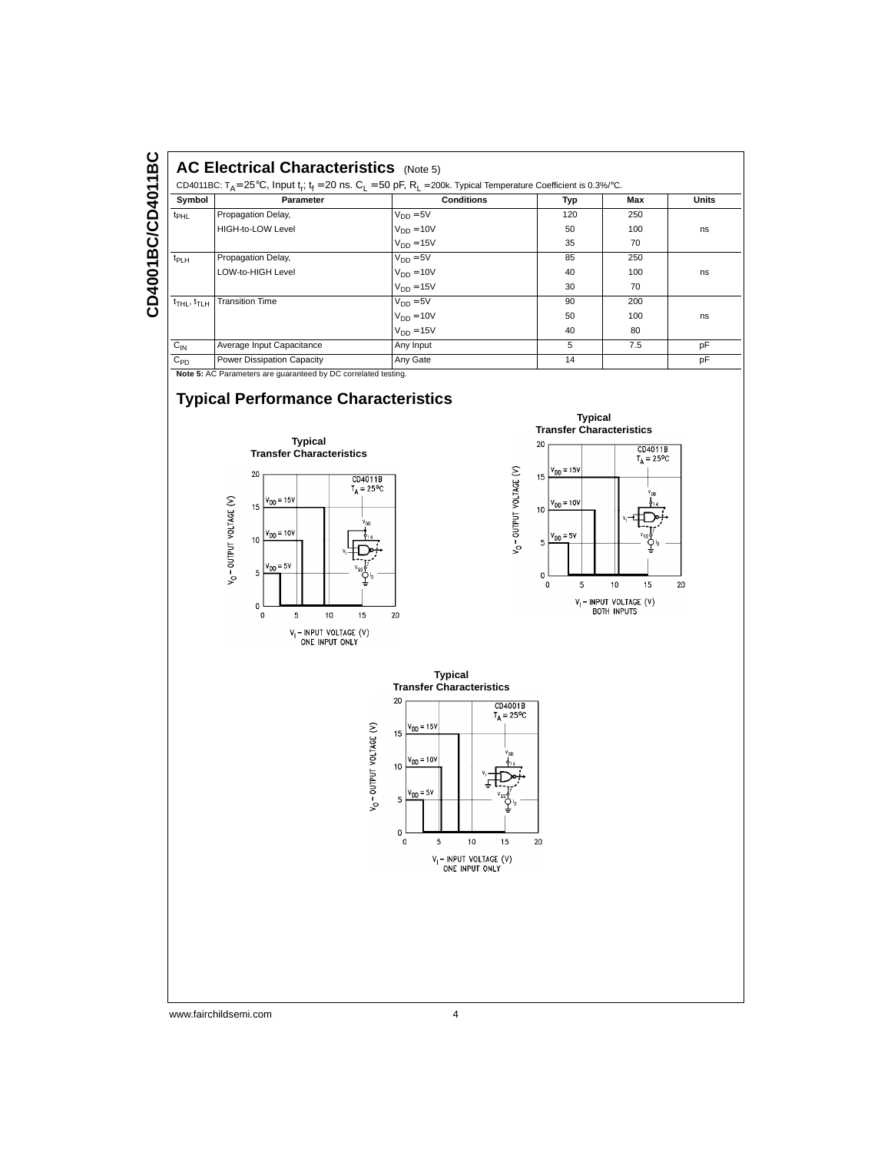#### **AC Electrical Characteristics** (Note 5)

| Symbol                              |                           | CD4011BC: $T_A = 25^{\circ}$ C, Input t <sub>r</sub> ; t <sub>f</sub> = 20 ns. C <sub>1</sub> = 50 pF, R <sub>1</sub> = 200k. Typical Temperature Coefficient is 0.3%/°C. |     |     |       |  |  |  |  |
|-------------------------------------|---------------------------|---------------------------------------------------------------------------------------------------------------------------------------------------------------------------|-----|-----|-------|--|--|--|--|
|                                     | Parameter                 | <b>Conditions</b>                                                                                                                                                         | Typ | Max | Units |  |  |  |  |
| $t_{\rm PHL}$                       | Propagation Delay,        | $V_{DD} = 5V$                                                                                                                                                             | 120 | 250 |       |  |  |  |  |
|                                     | HIGH-to-LOW Level         | $V_{DD} = 10V$                                                                                                                                                            | 50  | 100 | ns    |  |  |  |  |
|                                     |                           | $V_{DD} = 15V$                                                                                                                                                            | 35  | 70  |       |  |  |  |  |
| $t_{PLH}$                           | Propagation Delay,        | $V_{DD} = 5V$                                                                                                                                                             | 85  | 250 |       |  |  |  |  |
|                                     | LOW-to-HIGH Level         | $V_{DD} = 10V$                                                                                                                                                            | 40  | 100 | ns    |  |  |  |  |
|                                     |                           | $V_{DD} = 15V$                                                                                                                                                            | 30  | 70  |       |  |  |  |  |
| $t_{\text{THL}}$ , $t_{\text{TLH}}$ | <b>Transition Time</b>    | $V_{DD} = 5V$                                                                                                                                                             | 90  | 200 |       |  |  |  |  |
|                                     |                           | $V_{DD} = 10V$                                                                                                                                                            | 50  | 100 | ns    |  |  |  |  |
|                                     |                           | $V_{DD} = 15V$                                                                                                                                                            | 40  | 80  |       |  |  |  |  |
| $C_{IN}$                            | Average Input Capacitance | Any Input                                                                                                                                                                 | 5   | 7.5 | pF    |  |  |  |  |
|                                     |                           |                                                                                                                                                                           |     |     |       |  |  |  |  |

**Note 5:** AC Parameters are guaranteed by DC correlated testing.

# **Typical Performance Characteristics**







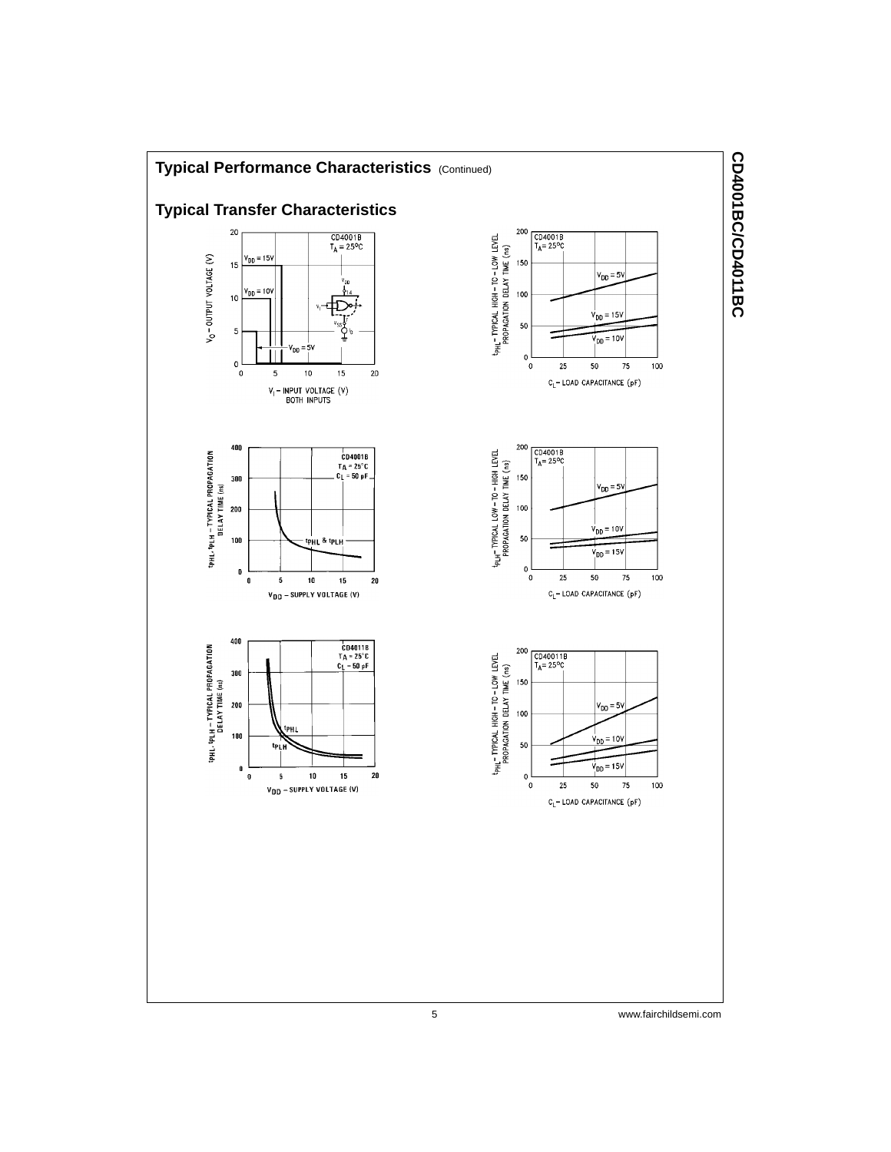

CD4001BC/CD4011BC **CD4001BC/CD4011BC**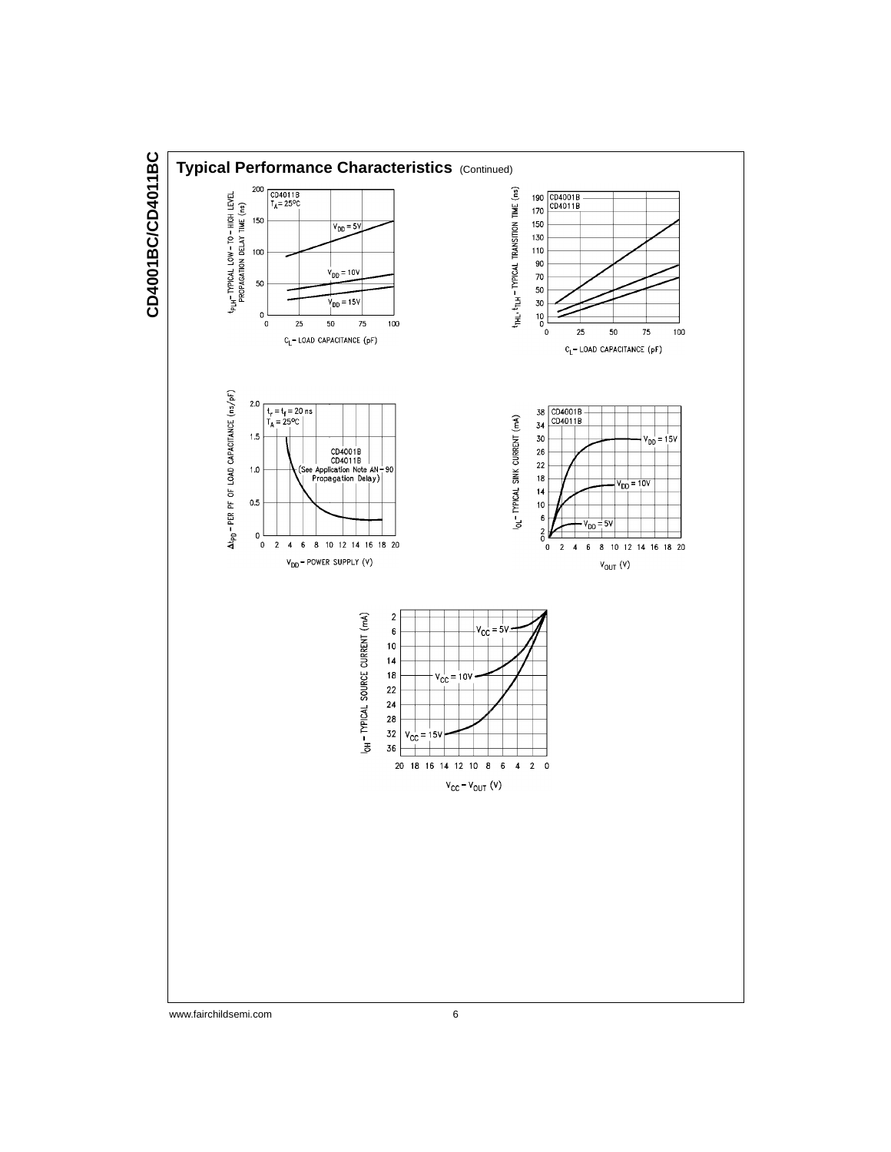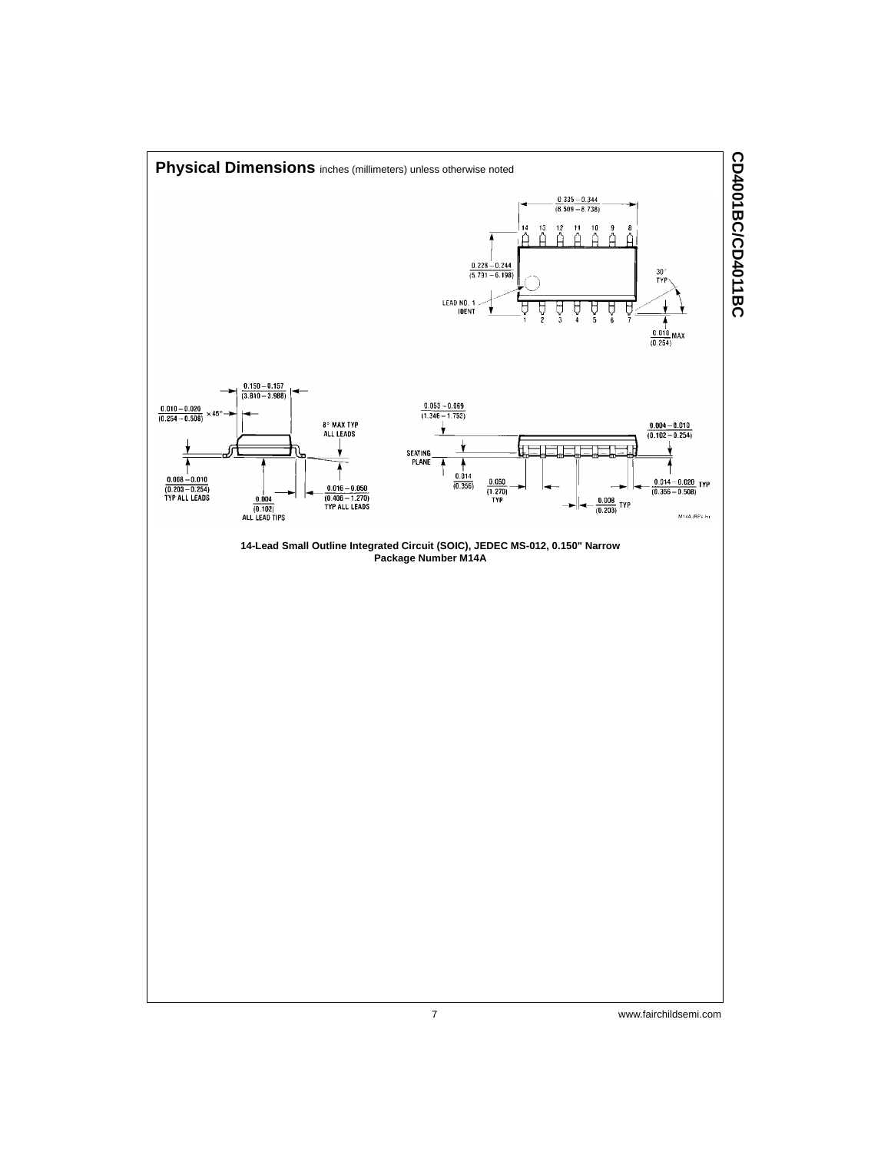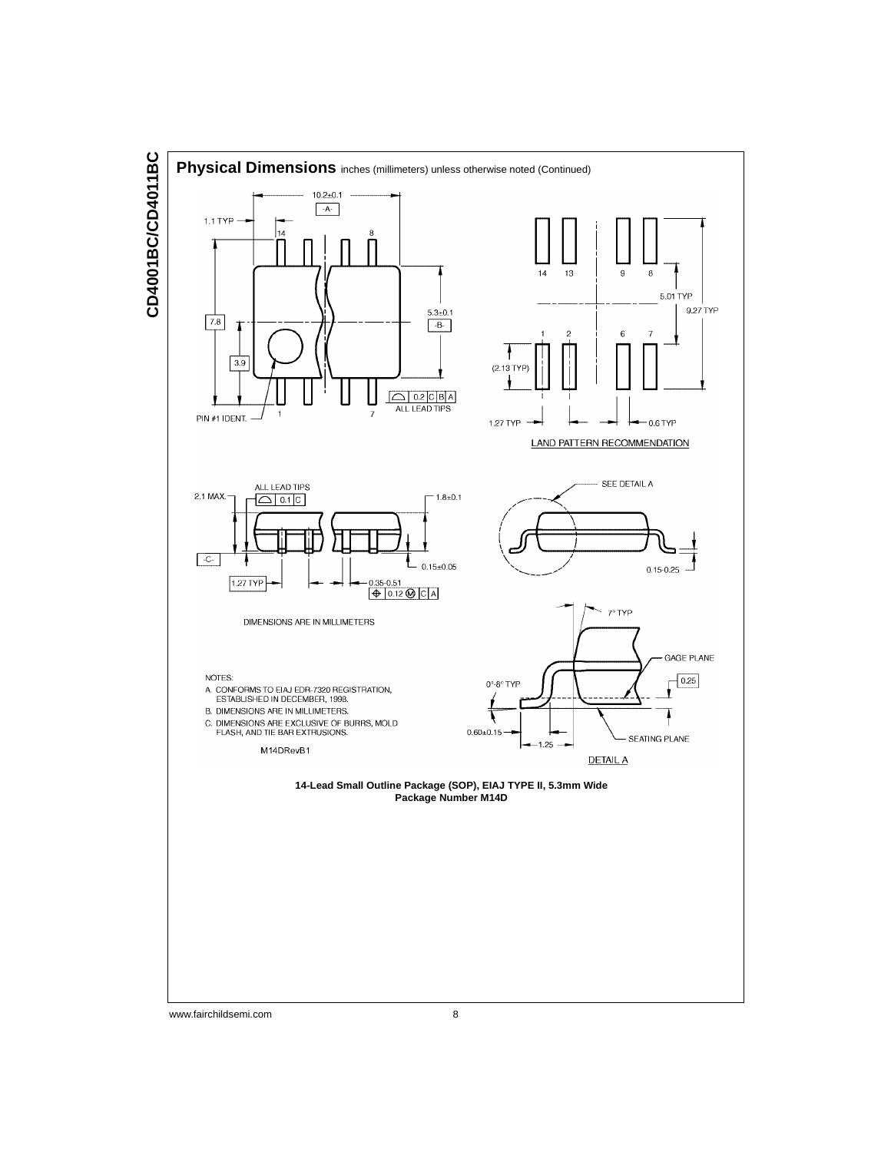